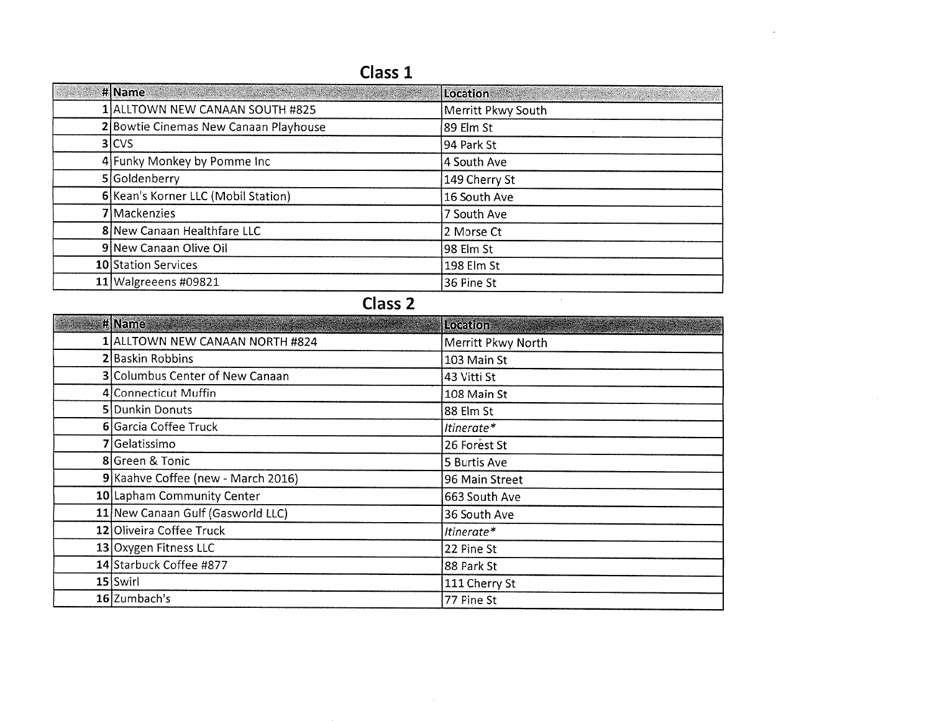## Class 1

|              | #Name                                 | Location           |
|--------------|---------------------------------------|--------------------|
|              | 1 ALLTOWN NEW CANAAN SOUTH #825       | Merritt Pkwy South |
|              | 2 Bowtie Cinemas New Canaan Playhouse | 89 Elm St          |
|              | $3$ CVS                               | 94 Park St         |
|              | 4 Funky Monkey by Pomme Inc           | 4 South Ave        |
|              | 5 Goldenberry                         | 149 Cherry St      |
|              | 6 Kean's Korner LLC (Mobil Station)   | 16 South Ave       |
|              | 7 Mackenzies                          | 7 South Ave        |
|              | 8 New Canaan Healthfare LLC           | 2 Morse Ct         |
|              | 9 New Canaan Olive Oil                | 98 Elm St          |
|              | 10 Station Services                   | 198 Elm St         |
|              | $11$ Walgreeens #09821                | 36 Pine St         |
| $\mathbf{C}$ |                                       |                    |

## Class 2

| # Name                             | Location           |
|------------------------------------|--------------------|
| 1 ALLTOWN NEW CANAAN NORTH #824    | Merritt Pkwy North |
| 2 Baskin Robbins                   | 103 Main St        |
| 3 Columbus Center of New Canaan    | 43 Vitti St        |
| 4 Connecticut Muffin               | 108 Main St        |
| 5 Dunkin Donuts                    | 88 Elm St          |
| 6 Garcia Coffee Truck              | Itinerate*         |
| 7 Gelatissimo                      | 26 Forest St       |
| 8 Green & Tonic                    | 5 Burtis Ave       |
| 9 Kaahve Coffee (new - March 2016) | 96 Main Street     |
| 10 Lapham Community Center         | 663 South Ave      |
| 11 New Canaan Gulf (Gasworld LLC)  | 36 South Ave       |
| 12 Oliveira Coffee Truck           | Itinerate*         |
| 13 Oxygen Fitness LLC              | 22 Pine St         |
| 14 Starbuck Coffee #877            | 88 Park St         |
| $15$ Swirl                         | 111 Cherry St      |
| 16 Zumbach's                       | 77 Pine St         |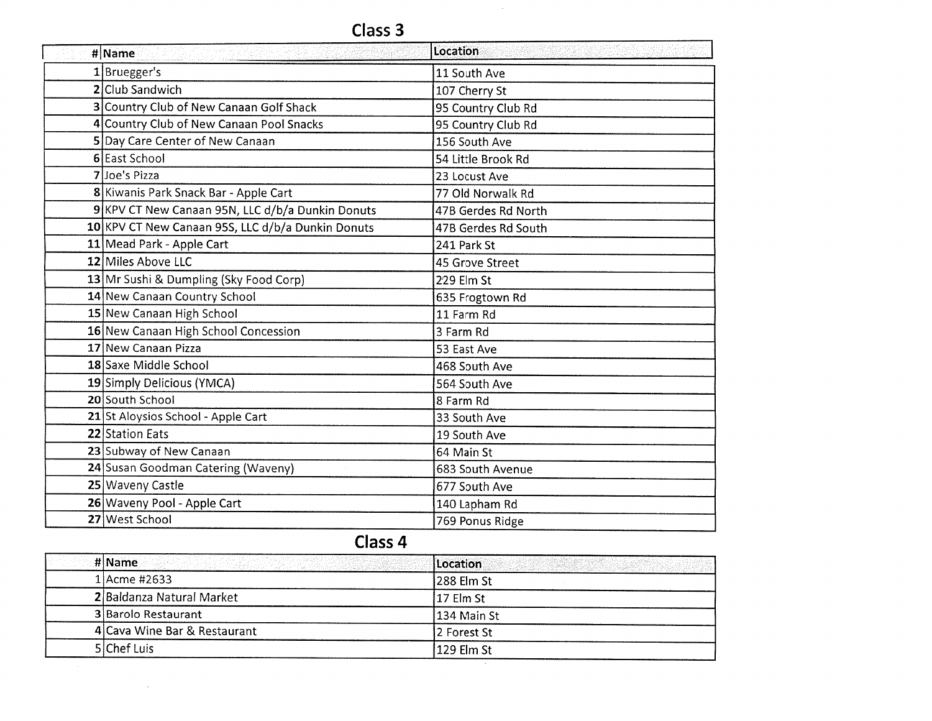$\sim 10$ 

| # Name                                            | Location            |
|---------------------------------------------------|---------------------|
| $1$ Bruegger's                                    | 11 South Ave        |
| 2 Club Sandwich                                   | 107 Cherry St       |
| 3 Country Club of New Canaan Golf Shack           | 95 Country Club Rd  |
| 4 Country Club of New Canaan Pool Snacks          | 95 Country Club Rd  |
| 5 Day Care Center of New Canaan                   | 156 South Ave       |
| 6 East School                                     | 54 Little Brook Rd  |
| 7Joe's Pizza                                      | 23 Locust Ave       |
| 8 Kiwanis Park Snack Bar - Apple Cart             | 77 Old Norwalk Rd   |
| 9 KPV CT New Canaan 95N, LLC d/b/a Dunkin Donuts  | 47B Gerdes Rd North |
| 10 KPV CT New Canaan 95S, LLC d/b/a Dunkin Donuts | 47B Gerdes Rd South |
| 11 Mead Park - Apple Cart                         | 241 Park St         |
| 12 Miles Above LLC                                | 45 Grove Street     |
| 13 Mr Sushi & Dumpling (Sky Food Corp)            | 229 Elm St          |
| 14 New Canaan Country School                      | 635 Frogtown Rd     |
| 15 New Canaan High School                         | 11 Farm Rd          |
| 16 New Canaan High School Concession              | 3 Farm Rd           |
| 17 New Canaan Pizza                               | 53 East Ave         |
| 18 Saxe Middle School                             | 468 South Ave       |
| 19 Simply Delicious (YMCA)                        | 564 South Ave       |
| 20 South School                                   | 8 Farm Rd           |
| 21 St Aloysios School - Apple Cart                | 33 South Ave        |
| 22 Station Eats                                   | 19 South Ave        |
| 23 Subway of New Canaan                           | 64 Main St          |
| 24 Susan Goodman Catering (Waveny)                | 683 South Avenue    |
| 25 Waveny Castle                                  | 677 South Ave       |
| 26 Waveny Pool - Apple Cart                       | 140 Lapham Rd       |
| 27 West School                                    | 769 Ponus Ridge     |

## Class 4

| <b>Historical Communication of the Communication of the Communication of the Communication of the Communication</b> | Location<br><u> Andrew Marie (1988)</u> |
|---------------------------------------------------------------------------------------------------------------------|-----------------------------------------|
| 1 Acme #2633                                                                                                        | 288 Elm St                              |
| 2 Baldanza Natural Market                                                                                           | 17 Elm St                               |
| <b>3</b> Barolo Restaurant                                                                                          | 134 Main St                             |
| 4 Cava Wine Bar & Restaurant                                                                                        | 2 Forest St                             |
| 5 Chef Luis                                                                                                         | 129 Elm St                              |
|                                                                                                                     |                                         |

 $\bar{z}$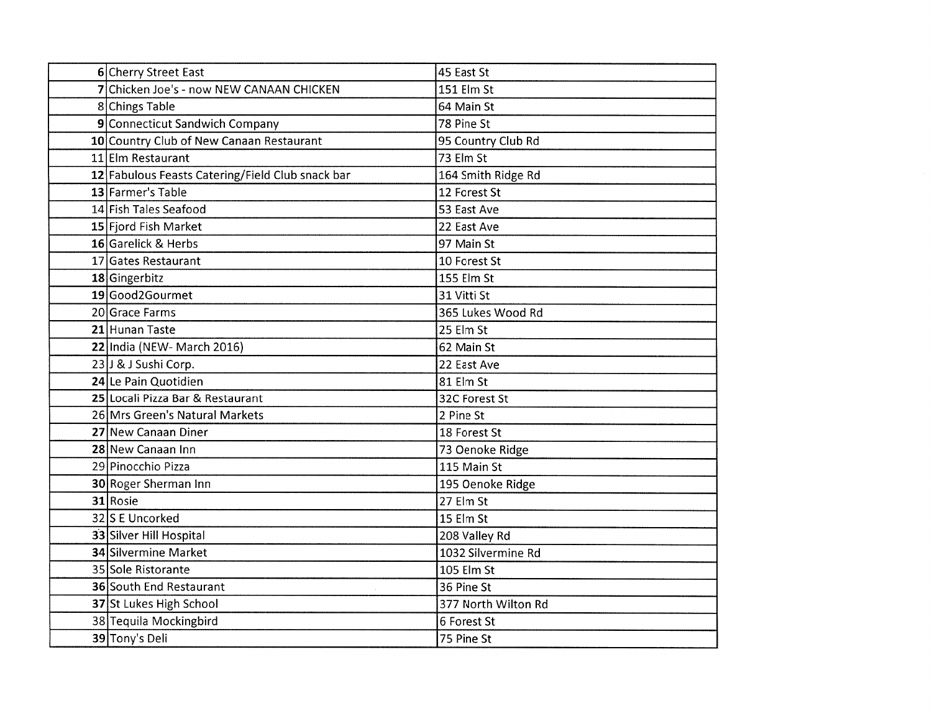| 6 Cherry Street East                             | 45 East St          |
|--------------------------------------------------|---------------------|
| 7 Chicken Joe's - now NEW CANAAN CHICKEN         | 151 Elm St          |
| 8 Chings Table                                   | 64 Main St          |
| 9 Connecticut Sandwich Company                   | 78 Pine St          |
| 10 Country Club of New Canaan Restaurant         | 95 Country Club Rd  |
| 11 Elm Restaurant                                | 73 Elm St           |
| 12 Fabulous Feasts Catering/Field Club snack bar | 164 Smith Ridge Rd  |
| 13 Farmer's Table                                | 12 Forest St        |
| 14 Fish Tales Seafood                            | 53 East Ave         |
| 15 Fjord Fish Market                             | 22 East Ave         |
| 16 Garelick & Herbs                              | 97 Main St          |
| 17 Gates Restaurant                              | 10 Forest St        |
| 18 Gingerbitz                                    | 155 Elm St          |
| 19 Good2Gourmet                                  | 31 Vitti St         |
| 20 Grace Farms                                   | 365 Lukes Wood Rd   |
| 21 Hunan Taste                                   | 25 Elm St           |
| 22 India (NEW- March 2016)                       | 62 Main St          |
| 23 J & J Sushi Corp.                             | 22 East Ave         |
| 24 Le Pain Quotidien                             | 81 Elm St           |
| 25 Locali Pizza Bar & Restaurant                 | 32C Forest St       |
| 26 Mrs Green's Natural Markets                   | 2 Pine St           |
| 27 New Canaan Diner                              | 18 Forest St        |
| 28 New Canaan Inn                                | 73 Oenoke Ridge     |
| 29 Pinocchio Pizza                               | 115 Main St         |
| 30 Roger Sherman Inn                             | 195 Oenoke Ridge    |
| 31 Rosie                                         | 27 Elm St           |
| 32 S E Uncorked                                  | 15 Elm St           |
| 33 Silver Hill Hospital                          | 208 Valley Rd       |
| 34 Silvermine Market                             | 1032 Silvermine Rd  |
| 35 Sole Ristorante                               | 105 Elm St          |
| <b>36 South End Restaurant</b>                   | 36 Pine St          |
| 37 St Lukes High School                          | 377 North Wilton Rd |
| 38 Tequila Mockingbird                           | 6 Forest St         |
| 39 Tony's Deli                                   | 75 Pine St          |